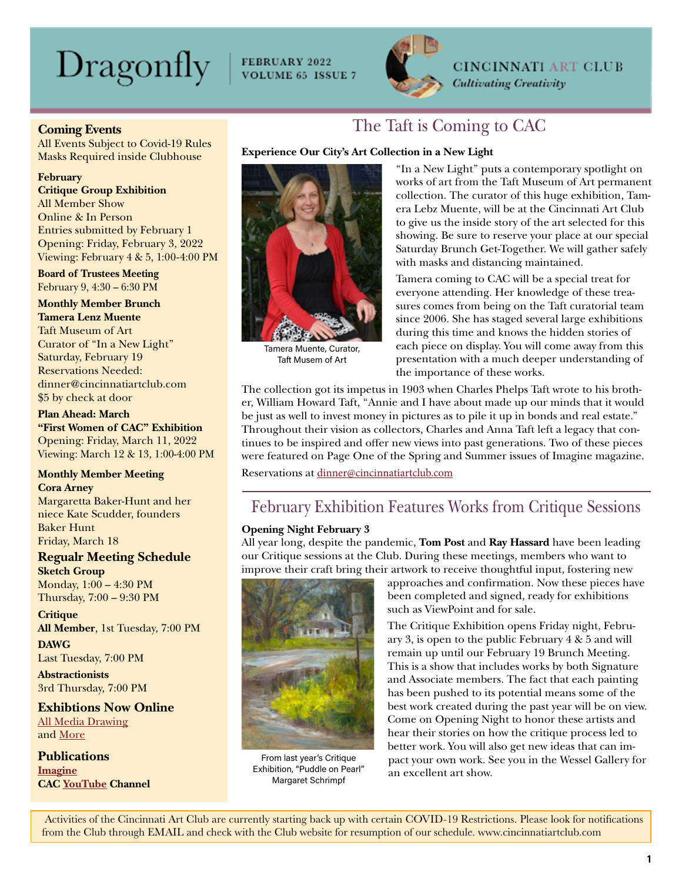# Dragonfly

FEBRUARY 2022<br>VOLUME 65 ISSUE 7



**CINCINNATI ART CLUB Cultivating Creativity** 

#### **Coming Events**

All Events Subject to Covid-19 Rules Masks Required inside Clubhouse

#### **February**

**Critique Group Exhibition** All Member Show Online & In Person Entries submitted by February 1 Opening: Friday, February 3, 2022 Viewing: February 4 & 5, 1:00-4:00 PM

**Board of Trustees Meeting** February 9, 4:30 – 6:30 PM

**Monthly Member Brunch Tamera Lenz Muente** Taft Museum of Art Curator of "In a New Light" Saturday, February 19 Reservations Needed: dinner@cincinnatiartclub.com \$5 by check at door

**Plan Ahead: March "First Women of CAC" Exhibition** Opening: Friday, March 11, 2022 Viewing: March 12 & 13, 1:00-4:00 PM

#### **Monthly Member Meeting Cora Arney**

Margaretta Baker-Hunt and her niece Kate Scudder, founders Baker Hunt Friday, March 18

### **Regualr Meeting Schedule**

**Sketch Group** Monday, 1:00 – 4:30 PM Thursday, 7:00 – 9:30 PM

**Critique All Member**, 1st Tuesday, 7:00 PM **DAWG**

Last Tuesday, 7:00 PM

**Abstractionists** 3rd Thursday, 7:00 PM

**Exhibtions Now Online** [All Media Drawing](https://cincinnatiartclub.org/2022-all-media-drawing/) and [More](http://www.cincinnatiartclub.com/index.html)

**Publications [Imagine](https://cincinnatiartclub.org/community/imagine-magazine/) CAC [YouTube](https://www.youtube.com/channel/UCUfJGPsIhKnIrCSoALXW2LA) Channel**

### The Taft is Coming to CAC

#### **Experience Our City's Art Collection in a New Light**



Tamera Muente, Curator, Taft Musem of Art

"In a New Light" puts a contemporary spotlight on works of art from the Taft Museum of Art permanent collection. The curator of this huge exhibition, Tamera Lebz Muente, will be at the Cincinnati Art Club to give us the inside story of the art selected for this showing. Be sure to reserve your place at our special Saturday Brunch Get-Together. We will gather safely with masks and distancing maintained.

Tamera coming to CAC will be a special treat for everyone attending. Her knowledge of these treasures comes from being on the Taft curatorial team since 2006. She has staged several large exhibitions during this time and knows the hidden stories of each piece on display. You will come away from this presentation with a much deeper understanding of the importance of these works.

The collection got its impetus in 1903 when Charles Phelps Taft wrote to his brother, William Howard Taft, "Annie and I have about made up our minds that it would be just as well to invest money in pictures as to pile it up in bonds and real estate." Throughout their vision as collectors, Charles and Anna Taft left a legacy that continues to be inspired and offer new views into past generations. Two of these pieces were featured on Page One of the Spring and Summer issues of Imagine magazine.

Reservations at [dinner@cincinnatiartclub.com](mailto:dinner%40cincinnatiartclub.com?subject=dinner%40cincinnatiartclub.com)

# February Exhibition Features Works from Critique Sessions

#### **Opening Night February 3**

All year long, despite the pandemic, **Tom Post** and **Ray Hassard** have been leading our Critique sessions at the Club. During these meetings, members who want to improve their craft bring their artwork to receive thoughtful input, fostering new



From last year's Critique Exhibition, "Puddle on Pearl" Margaret Schrimpf

approaches and confirmation. Now these pieces have been completed and signed, ready for exhibitions such as ViewPoint and for sale.

The Critique Exhibition opens Friday night, February 3, is open to the public February 4 & 5 and will remain up until our February 19 Brunch Meeting. This is a show that includes works by both Signature and Associate members. The fact that each painting has been pushed to its potential means some of the best work created during the past year will be on view. Come on Opening Night to honor these artists and hear their stories on how the critique process led to better work. You will also get new ideas that can impact your own work. See you in the Wessel Gallery for an excellent art show.

 Activities of the Cincinnati Art Club are currently starting back up with certain COVID-19 Restrictions. Please look for notifications from the Club through EMAIL and check with the Club website for resumption of our schedule. www.cincinnatiartclub.com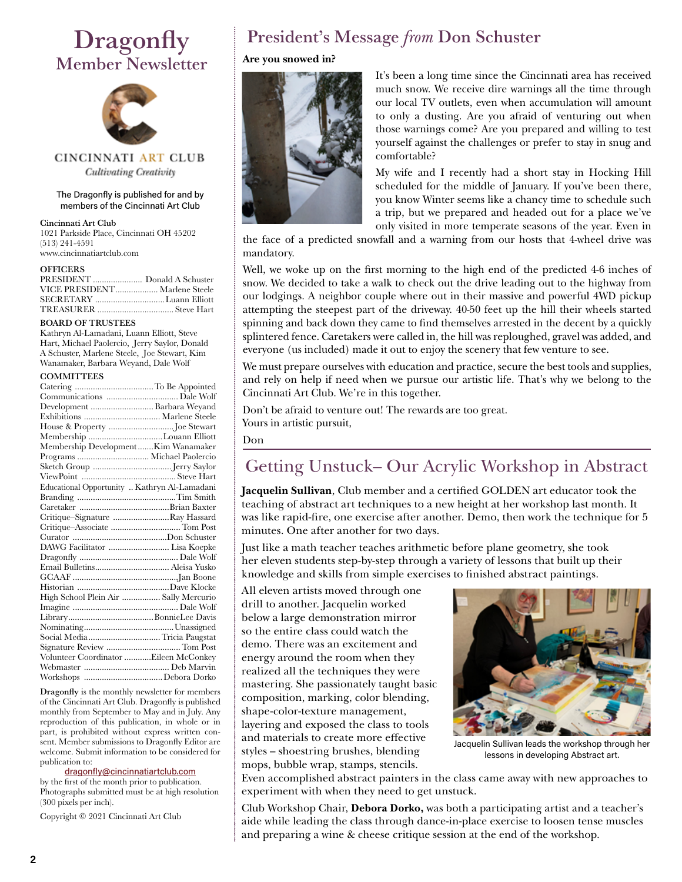# **Dragonfly** Member Newsletter



CINCINNATI ART CLUB **Cultivating Creativity** 

#### The Dragonfly is published for and by members of the Cincinnati Art Club

#### Cincinnati Art Club

1021 Parkside Place, Cincinnati OH 45202 (513) 241-4591 www.cincinnatiartclub.com

#### **OFFICERS**

| PRESIDENT  Donald A Schuster  |  |
|-------------------------------|--|
| VICE PRESIDENT Marlene Steele |  |
| SECRETARY  Luann Elliott      |  |
|                               |  |

#### BOARD OF TRUSTEES

Kathryn Al-Lamadani, Luann Elliott, Steve Hart, Michael Paolercio, Jerry Saylor, Donald A Schuster, Marlene Steele, Joe Stewart, Kim Wanamaker, Barbara Weyand, Dale Wolf

#### **COMMITTEES**

| Development  Barbara Weyand                  |  |
|----------------------------------------------|--|
|                                              |  |
|                                              |  |
| Membership Louann Elliott                    |  |
| Membership DevelopmentKim Wanamaker          |  |
| Programs  Michael Paolercio                  |  |
|                                              |  |
|                                              |  |
| Educational Opportunity  Kathryn Al-Lamadani |  |
|                                              |  |
|                                              |  |
| Critique–Signature Ray Hassard               |  |
| Critique-Associate  Tom Post                 |  |
|                                              |  |
| DAWG Facilitator  Lisa Koepke                |  |
|                                              |  |
|                                              |  |
|                                              |  |
|                                              |  |
| High School Plein Air  Sally Mercurio        |  |
|                                              |  |
|                                              |  |
|                                              |  |
| Social Media Tricia Paugstat                 |  |
|                                              |  |
| Volunteer Coordinator Eileen McConkey        |  |
|                                              |  |
|                                              |  |
|                                              |  |

Dragonfly is the monthly newsletter for members of the Cincinnati Art Club. Dragonfly is published monthly from September to May and in July. Any reproduction of this publication, in whole or in part, is prohibited without express written consent. Member submissions to Dragonfly Editor are welcome. Submit information to be considered for publication to:

#### [dragonfly@cincinnatiartclub.com](mailto:dragonfly%40cincinnatiartclub.com?subject=dragonfly%40cincinnatiartclub.com)

by the first of the month prior to publication. Photographs submitted must be at high resolution (300 pixels per inch).

Copyright © 2021 Cincinnati Art Club

# President's Message *from* Don Schuster

#### **Are you snowed in?**



It's been a long time since the Cincinnati area has received much snow. We receive dire warnings all the time through our local TV outlets, even when accumulation will amount to only a dusting. Are you afraid of venturing out when those warnings come? Are you prepared and willing to test yourself against the challenges or prefer to stay in snug and comfortable?

My wife and I recently had a short stay in Hocking Hill scheduled for the middle of January. If you've been there, you know Winter seems like a chancy time to schedule such a trip, but we prepared and headed out for a place we've only visited in more temperate seasons of the year. Even in

the face of a predicted snowfall and a warning from our hosts that 4-wheel drive was mandatory.

Well, we woke up on the first morning to the high end of the predicted 4-6 inches of snow. We decided to take a walk to check out the drive leading out to the highway from our lodgings. A neighbor couple where out in their massive and powerful 4WD pickup attempting the steepest part of the driveway. 40-50 feet up the hill their wheels started spinning and back down they came to find themselves arrested in the decent by a quickly splintered fence. Caretakers were called in, the hill was reploughed, gravel was added, and everyone (us included) made it out to enjoy the scenery that few venture to see.

We must prepare ourselves with education and practice, secure the best tools and supplies, and rely on help if need when we pursue our artistic life. That's why we belong to the Cincinnati Art Club. We're in this together.

Don't be afraid to venture out! The rewards are too great. Yours in artistic pursuit,

Don

# Getting Unstuck– Our Acrylic Workshop in Abstract

**Jacquelin Sullivan**, Club member and a certified GOLDEN art educator took the teaching of abstract art techniques to a new height at her workshop last month. It was like rapid-fire, one exercise after another. Demo, then work the technique for 5 minutes. One after another for two days.

Just like a math teacher teaches arithmetic before plane geometry, she took her eleven students step-by-step through a variety of lessons that built up their knowledge and skills from simple exercises to finished abstract paintings.

All eleven artists moved through one drill to another. Jacquelin worked below a large demonstration mirror so the entire class could watch the demo. There was an excitement and energy around the room when they realized all the techniques they were mastering. She passionately taught basic composition, marking, color blending, shape-color-texture management, layering and exposed the class to tools and materials to create more effective styles – shoestring brushes, blending mops, bubble wrap, stamps, stencils.



Jacquelin Sullivan leads the workshop through her lessons in developing Abstract art.

Even accomplished abstract painters in the class came away with new approaches to experiment with when they need to get unstuck.

Club Workshop Chair, **Debora Dorko,** was both a participating artist and a teacher's aide while leading the class through dance-in-place exercise to loosen tense muscles and preparing a wine & cheese critique session at the end of the workshop.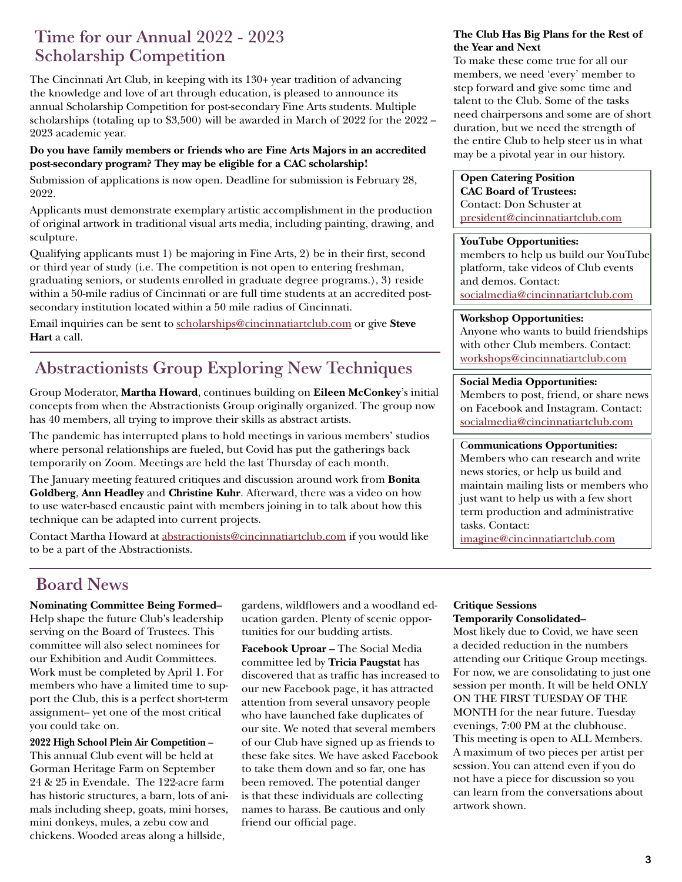### Time for our Annual 2022 - 2023 Scholarship Competition

The Cincinnati Art Club, in keeping with its 130+ year tradition of advancing the knowledge and love of art through education, is pleased to announce its annual Scholarship Competition for post-secondary Fine Arts students. Multiple scholarships (totaling up to  $$3,500$ ) will be awarded in March of 2022 for the 2022 – 2023 academic year.

#### **Do you have family members or friends who are Fine Arts Majors in an accredited post-secondary program? They may be eligible for a CAC scholarship!**

Submission of applications is now open. Deadline for submission is February 28, 2022.

Applicants must demonstrate exemplary artistic accomplishment in the production of original artwork in traditional visual arts media, including painting, drawing, and sculpture.

Qualifying applicants must 1) be majoring in Fine Arts, 2) be in their first, second or third year of study (i.e. The competition is not open to entering freshman, graduating seniors, or students enrolled in graduate degree programs.), 3) reside within a 50-mile radius of Cincinnati or are full time students at an accredited postsecondary institution located within a 50 mile radius of Cincinnati.

Email inquiries can be sent to [scholarships@cincinnatiartclub.com](mailto:scholarships%40cincinnatiartclub.com?subject=2021%20CAC%20Scholarship%20Competition) or give **Steve Hart** a call.

# Abstractionists Group Exploring New Techniques

Group Moderator, **Martha Howard**, continues building on **Eileen McConkey**'s initial concepts from when the Abstractionists Group originally organized. The group now has 40 members, all trying to improve their skills as abstract artists.

The pandemic has interrupted plans to hold meetings in various members' studios where personal relationships are fueled, but Covid has put the gatherings back temporarily on Zoom. Meetings are held the last Thursday of each month.

The January meeting featured critiques and discussion around work from **Bonita Goldberg**, **Ann Headley** and **Christine Kuhr**. Afterward, there was a video on how to use water-based encaustic paint with members joining in to talk about how this technique can be adapted into current projects.

Contact Martha Howard at [abstractionists@cincinnatiartclub.com](mailto:abstractionsists%40cincinnatiartclub.com%20?subject=abstractionsists%40cincinnatiartclub.com%0D) if you would like to be a part of the Abstractionists.

#### **The Club Has Big Plans for the Rest of the Year and Next**

To make these come true for all our members, we need 'every' member to step forward and give some time and talent to the Club. Some of the tasks need chairpersons and some are of short duration, but we need the strength of the entire Club to help steer us in what may be a pivotal year in our history.

#### **Open Catering Position**

**CAC Board of Trustees:** Contact: Don Schuster at [president@cincinnatiartclub.com](mailto:president%40cincinnatiartclub.com?subject=)

#### **YouTube Opportunities:**

members to help us build our YouTube platform, take videos of Club events and demos. Contact: [socialmedia@cincinnatiartclub.com](mailto:socialmedia%40cincinnatiartclub.com%20?subject=)

#### **Workshop Opportunities:**

Anyone who wants to build friendships with other Club members. Contact: [workshops@cincinnatiartclub.com](mailto:workshops@cincinnatiartclub.com)

#### **Social Media Opportunities:**

Members to post, friend, or share news on Facebook and Instagram. Contact: [socialmedia@cincinnatiartclub.com](mailto:abstractionists%40cincinnatiartclub.com?subject=Eileen%20McConkey)

#### C**ommunications Opportunities:**

Members who can research and write news stories, or help us build and maintain mailing lists or members who just want to help us with a few short term production and administrative tasks. Contact:

[imagine@cincinnatiartclub.com](mailto:imagine%40cincinnatiartclub.com?subject=imagine%40cincinnatiartclub.com)

## Board News

**Nominating Committee Being Formed–**  Help shape the future Club's leadership serving on the Board of Trustees. This committee will also select nominees for our Exhibition and Audit Committees. Work must be completed by April 1. For members who have a limited time to support the Club, this is a perfect short-term assignment– yet one of the most critical you could take on.

**2022 High School Plein Air Competition –** This annual Club event will be held at Gorman Heritage Farm on September 24 & 25 in Evendale. The 122-acre farm has historic structures, a barn, lots of animals including sheep, goats, mini horses, mini donkeys, mules, a zebu cow and chickens. Wooded areas along a hillside,

gardens, wildflowers and a woodland education garden. Plenty of scenic opportunities for our budding artists.

**Facebook Uproar –** The Social Media committee led by **Tricia Paugstat** has discovered that as traffic has increased to our new Facebook page, it has attracted attention from several unsavory people who have launched fake duplicates of our site. We noted that several members of our Club have signed up as friends to these fake sites. We have asked Facebook to take them down and so far, one has been removed. The potential danger is that these individuals are collecting names to harass. Be cautious and only friend our official page.

#### **Critique Sessions Temporarily Consolidated–**

Most likely due to Covid, we have seen a decided reduction in the numbers attending our Critique Group meetings. For now, we are consolidating to just one session per month. It will be held ONLY ON THE FIRST TUESDAY OF THE MONTH for the near future. Tuesday evenings, 7:00 PM at the clubhouse. This meeting is open to ALL Members. A maximum of two pieces per artist per session. You can attend even if you do not have a piece for discussion so you can learn from the conversations about artwork shown.